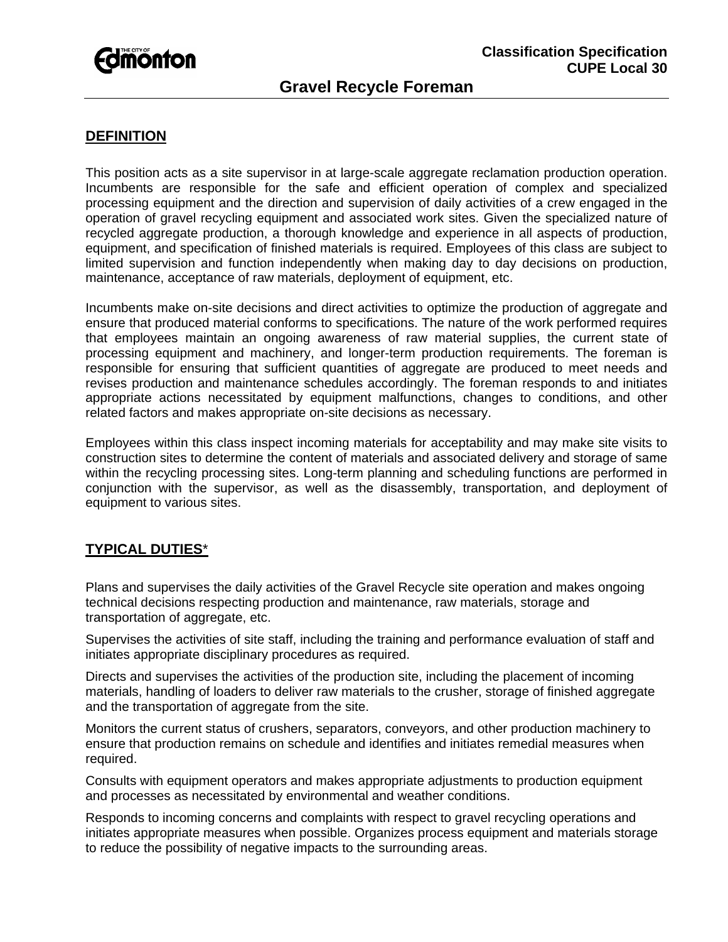# *<u>Edmonton</u>*

## **Gravel Recycle Foreman**

### **DEFINITION**

This position acts as a site supervisor in at large-scale aggregate reclamation production operation. Incumbents are responsible for the safe and efficient operation of complex and specialized processing equipment and the direction and supervision of daily activities of a crew engaged in the operation of gravel recycling equipment and associated work sites. Given the specialized nature of recycled aggregate production, a thorough knowledge and experience in all aspects of production, equipment, and specification of finished materials is required. Employees of this class are subject to limited supervision and function independently when making day to day decisions on production, maintenance, acceptance of raw materials, deployment of equipment, etc.

Incumbents make on-site decisions and direct activities to optimize the production of aggregate and ensure that produced material conforms to specifications. The nature of the work performed requires that employees maintain an ongoing awareness of raw material supplies, the current state of processing equipment and machinery, and longer-term production requirements. The foreman is responsible for ensuring that sufficient quantities of aggregate are produced to meet needs and revises production and maintenance schedules accordingly. The foreman responds to and initiates appropriate actions necessitated by equipment malfunctions, changes to conditions, and other related factors and makes appropriate on-site decisions as necessary.

Employees within this class inspect incoming materials for acceptability and may make site visits to construction sites to determine the content of materials and associated delivery and storage of same within the recycling processing sites. Long-term planning and scheduling functions are performed in conjunction with the supervisor, as well as the disassembly, transportation, and deployment of equipment to various sites.

#### **TYPICAL DUTIES**\*

Plans and supervises the daily activities of the Gravel Recycle site operation and makes ongoing technical decisions respecting production and maintenance, raw materials, storage and transportation of aggregate, etc.

Supervises the activities of site staff, including the training and performance evaluation of staff and initiates appropriate disciplinary procedures as required.

Directs and supervises the activities of the production site, including the placement of incoming materials, handling of loaders to deliver raw materials to the crusher, storage of finished aggregate and the transportation of aggregate from the site.

Monitors the current status of crushers, separators, conveyors, and other production machinery to ensure that production remains on schedule and identifies and initiates remedial measures when required.

Consults with equipment operators and makes appropriate adjustments to production equipment and processes as necessitated by environmental and weather conditions.

Responds to incoming concerns and complaints with respect to gravel recycling operations and initiates appropriate measures when possible. Organizes process equipment and materials storage to reduce the possibility of negative impacts to the surrounding areas.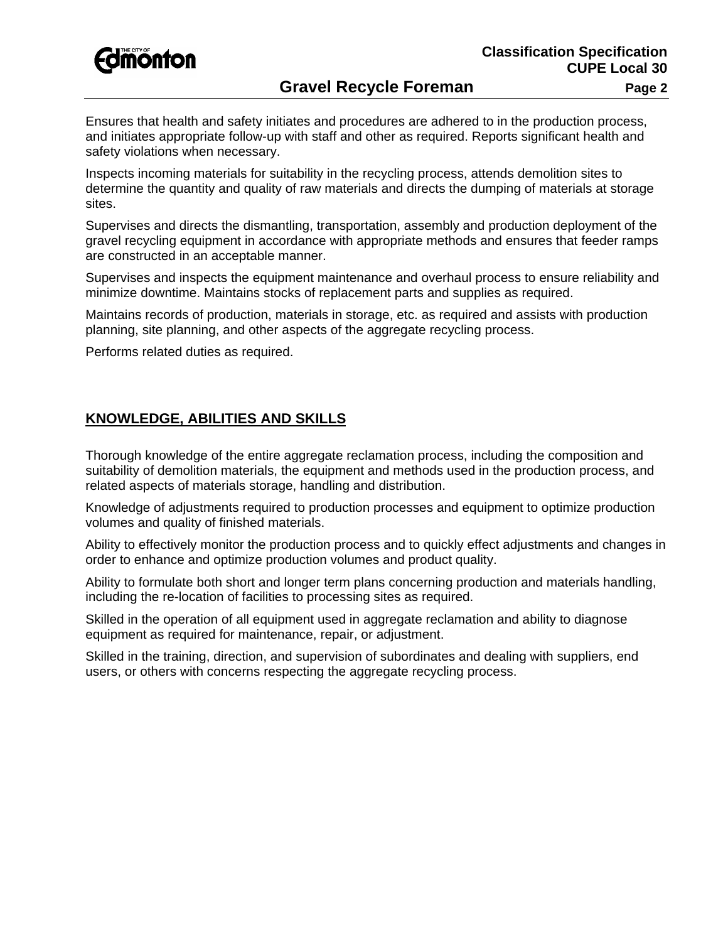

Ensures that health and safety initiates and procedures are adhered to in the production process, and initiates appropriate follow-up with staff and other as required. Reports significant health and safety violations when necessary.

Inspects incoming materials for suitability in the recycling process, attends demolition sites to determine the quantity and quality of raw materials and directs the dumping of materials at storage sites.

Supervises and directs the dismantling, transportation, assembly and production deployment of the gravel recycling equipment in accordance with appropriate methods and ensures that feeder ramps are constructed in an acceptable manner.

Supervises and inspects the equipment maintenance and overhaul process to ensure reliability and minimize downtime. Maintains stocks of replacement parts and supplies as required.

Maintains records of production, materials in storage, etc. as required and assists with production planning, site planning, and other aspects of the aggregate recycling process.

Performs related duties as required.

#### **KNOWLEDGE, ABILITIES AND SKILLS**

Thorough knowledge of the entire aggregate reclamation process, including the composition and suitability of demolition materials, the equipment and methods used in the production process, and related aspects of materials storage, handling and distribution.

Knowledge of adjustments required to production processes and equipment to optimize production volumes and quality of finished materials.

Ability to effectively monitor the production process and to quickly effect adjustments and changes in order to enhance and optimize production volumes and product quality.

Ability to formulate both short and longer term plans concerning production and materials handling, including the re-location of facilities to processing sites as required.

Skilled in the operation of all equipment used in aggregate reclamation and ability to diagnose equipment as required for maintenance, repair, or adjustment.

Skilled in the training, direction, and supervision of subordinates and dealing with suppliers, end users, or others with concerns respecting the aggregate recycling process.